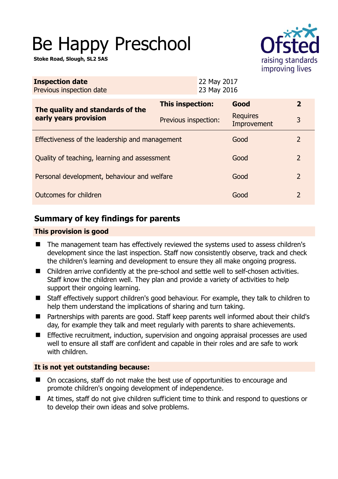# Be Happy Preschool

**Stoke Road, Slough, SL2 5AS** 



| <b>Inspection date</b><br>Previous inspection date        | 22 May 2017<br>23 May 2016 |                                |                |
|-----------------------------------------------------------|----------------------------|--------------------------------|----------------|
| The quality and standards of the<br>early years provision | This inspection:           | Good                           | $\overline{2}$ |
|                                                           | Previous inspection:       | <b>Requires</b><br>Improvement | 3              |
| Effectiveness of the leadership and management            |                            | Good                           | 2              |
| Quality of teaching, learning and assessment              |                            | Good                           | 2              |
| Personal development, behaviour and welfare               |                            | Good                           | $\overline{2}$ |
| Outcomes for children                                     |                            | Good                           | 2              |

# **Summary of key findings for parents**

# **This provision is good**

- The management team has effectively reviewed the systems used to assess children's development since the last inspection. Staff now consistently observe, track and check the children's learning and development to ensure they all make ongoing progress.
- Children arrive confidently at the pre-school and settle well to self-chosen activities. Staff know the children well. They plan and provide a variety of activities to help support their ongoing learning.
- Staff effectively support children's good behaviour. For example, they talk to children to help them understand the implications of sharing and turn taking.
- Partnerships with parents are good. Staff keep parents well informed about their child's day, for example they talk and meet regularly with parents to share achievements.
- **Effective recruitment, induction, supervision and ongoing appraisal processes are used** well to ensure all staff are confident and capable in their roles and are safe to work with children.

# **It is not yet outstanding because:**

- On occasions, staff do not make the best use of opportunities to encourage and promote children's ongoing development of independence.
- At times, staff do not give children sufficient time to think and respond to questions or to develop their own ideas and solve problems.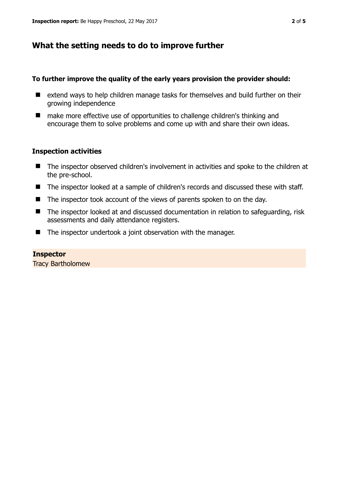# **What the setting needs to do to improve further**

# **To further improve the quality of the early years provision the provider should:**

- extend ways to help children manage tasks for themselves and build further on their growing independence
- make more effective use of opportunities to challenge children's thinking and encourage them to solve problems and come up with and share their own ideas.

# **Inspection activities**

- The inspector observed children's involvement in activities and spoke to the children at the pre-school.
- The inspector looked at a sample of children's records and discussed these with staff.
- The inspector took account of the views of parents spoken to on the day.
- The inspector looked at and discussed documentation in relation to safeguarding, risk assessments and daily attendance registers.
- The inspector undertook a joint observation with the manager.

#### **Inspector**

Tracy Bartholomew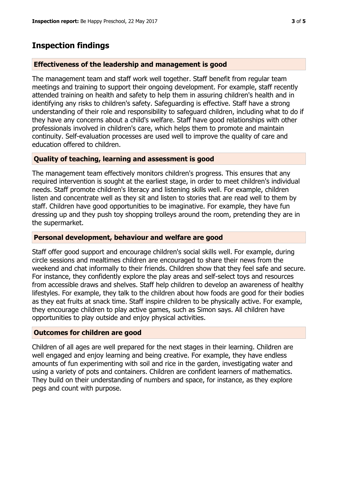# **Inspection findings**

# **Effectiveness of the leadership and management is good**

The management team and staff work well together. Staff benefit from regular team meetings and training to support their ongoing development. For example, staff recently attended training on health and safety to help them in assuring children's health and in identifying any risks to children's safety. Safeguarding is effective. Staff have a strong understanding of their role and responsibility to safeguard children, including what to do if they have any concerns about a child's welfare. Staff have good relationships with other professionals involved in children's care, which helps them to promote and maintain continuity. Self-evaluation processes are used well to improve the quality of care and education offered to children.

# **Quality of teaching, learning and assessment is good**

The management team effectively monitors children's progress. This ensures that any required intervention is sought at the earliest stage, in order to meet children's individual needs. Staff promote children's literacy and listening skills well. For example, children listen and concentrate well as they sit and listen to stories that are read well to them by staff. Children have good opportunities to be imaginative. For example, they have fun dressing up and they push toy shopping trolleys around the room, pretending they are in the supermarket.

# **Personal development, behaviour and welfare are good**

Staff offer good support and encourage children's social skills well. For example, during circle sessions and mealtimes children are encouraged to share their news from the weekend and chat informally to their friends. Children show that they feel safe and secure. For instance, they confidently explore the play areas and self-select toys and resources from accessible draws and shelves. Staff help children to develop an awareness of healthy lifestyles. For example, they talk to the children about how foods are good for their bodies as they eat fruits at snack time. Staff inspire children to be physically active. For example, they encourage children to play active games, such as Simon says. All children have opportunities to play outside and enjoy physical activities.

# **Outcomes for children are good**

Children of all ages are well prepared for the next stages in their learning. Children are well engaged and enjoy learning and being creative. For example, they have endless amounts of fun experimenting with soil and rice in the garden, investigating water and using a variety of pots and containers. Children are confident learners of mathematics. They build on their understanding of numbers and space, for instance, as they explore pegs and count with purpose.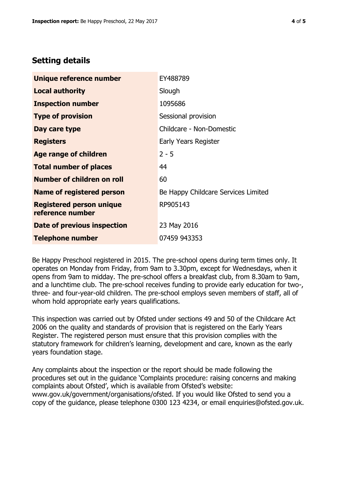# **Setting details**

| Unique reference number                             | EY488789                            |  |
|-----------------------------------------------------|-------------------------------------|--|
| <b>Local authority</b>                              | Slough                              |  |
| <b>Inspection number</b>                            | 1095686                             |  |
| <b>Type of provision</b>                            | Sessional provision                 |  |
| Day care type                                       | Childcare - Non-Domestic            |  |
| <b>Registers</b>                                    | Early Years Register                |  |
| <b>Age range of children</b>                        | $2 - 5$                             |  |
| <b>Total number of places</b>                       | 44                                  |  |
| <b>Number of children on roll</b>                   | 60                                  |  |
| Name of registered person                           | Be Happy Childcare Services Limited |  |
| <b>Registered person unique</b><br>reference number | RP905143                            |  |
| Date of previous inspection                         | 23 May 2016                         |  |
| <b>Telephone number</b>                             | 07459 943353                        |  |

Be Happy Preschool registered in 2015. The pre-school opens during term times only. It operates on Monday from Friday, from 9am to 3.30pm, except for Wednesdays, when it opens from 9am to midday. The pre-school offers a breakfast club, from 8.30am to 9am, and a lunchtime club. The pre-school receives funding to provide early education for two-, three- and four-year-old children. The pre-school employs seven members of staff, all of whom hold appropriate early years qualifications.

This inspection was carried out by Ofsted under sections 49 and 50 of the Childcare Act 2006 on the quality and standards of provision that is registered on the Early Years Register. The registered person must ensure that this provision complies with the statutory framework for children's learning, development and care, known as the early years foundation stage.

Any complaints about the inspection or the report should be made following the procedures set out in the guidance 'Complaints procedure: raising concerns and making complaints about Ofsted', which is available from Ofsted's website: www.gov.uk/government/organisations/ofsted. If you would like Ofsted to send you a copy of the guidance, please telephone 0300 123 4234, or email enquiries@ofsted.gov.uk.